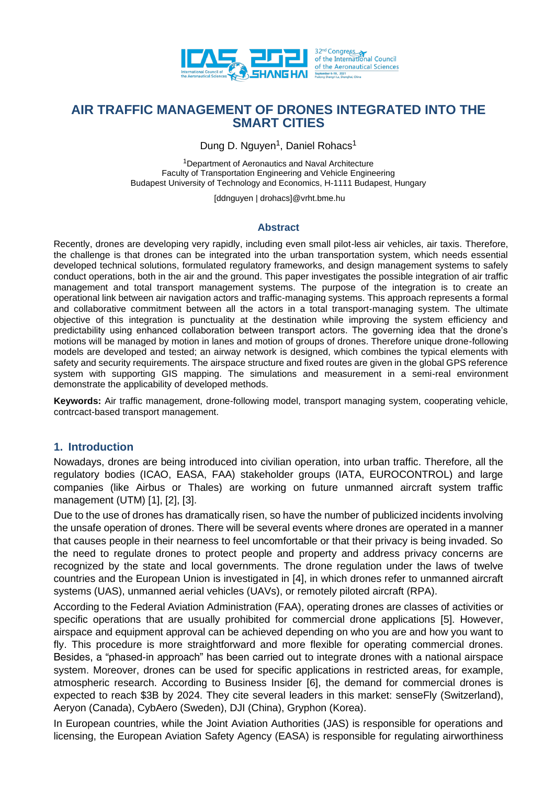

Dung D. Nguyen<sup>1</sup>, Daniel Rohacs<sup>1</sup>

<sup>1</sup>Department of Aeronautics and Naval Architecture Faculty of Transportation Engineering and Vehicle Engineering Budapest University of Technology and Economics, H-1111 Budapest, Hungary

[ddnguyen | drohacs]@vrht.bme.hu

#### **Abstract**

Recently, drones are developing very rapidly, including even small pilot-less air vehicles, air taxis. Therefore, the challenge is that drones can be integrated into the urban transportation system, which needs essential developed technical solutions, formulated regulatory frameworks, and design management systems to safely conduct operations, both in the air and the ground. This paper investigates the possible integration of air traffic management and total transport management systems. The purpose of the integration is to create an operational link between air navigation actors and traffic-managing systems. This approach represents a formal and collaborative commitment between all the actors in a total transport-managing system. The ultimate objective of this integration is punctuality at the destination while improving the system efficiency and predictability using enhanced collaboration between transport actors. The governing idea that the drone's motions will be managed by motion in lanes and motion of groups of drones. Therefore unique drone-following models are developed and tested; an airway network is designed, which combines the typical elements with safety and security requirements. The airspace structure and fixed routes are given in the global GPS reference system with supporting GIS mapping. The simulations and measurement in a semi-real environment demonstrate the applicability of developed methods.

**Keywords:** Air traffic management, drone-following model, transport managing system, cooperating vehicle, contrcact-based transport management.

## **1. Introduction**

Nowadays, drones are being introduced into civilian operation, into urban traffic. Therefore, all the regulatory bodies (ICAO, EASA, FAA) stakeholder groups (IATA, EUROCONTROL) and large companies (like Airbus or Thales) are working on future unmanned aircraft system traffic management (UTM) [1], [2], [3].

Due to the use of drones has dramatically risen, so have the number of publicized incidents involving the unsafe operation of drones. There will be several events where drones are operated in a manner that causes people in their nearness to feel uncomfortable or that their privacy is being invaded. So the need to regulate drones to protect people and property and address privacy concerns are recognized by the state and local governments. The drone regulation under the laws of twelve countries and the European Union is investigated in [4], in which drones refer to unmanned aircraft systems (UAS), unmanned aerial vehicles (UAVs), or remotely piloted aircraft (RPA).

According to the Federal Aviation Administration (FAA), operating drones are classes of activities or specific operations that are usually prohibited for commercial drone applications [5]. However, airspace and equipment approval can be achieved depending on who you are and how you want to fly. This procedure is more straightforward and more flexible for operating commercial drones. Besides, a "phased-in approach" has been carried out to integrate drones with a national airspace system. Moreover, drones can be used for specific applications in restricted areas, for example, atmospheric research. According to Business Insider [6], the demand for commercial drones is expected to reach \$3B by 2024. They cite several leaders in this market: senseFly (Switzerland), Aeryon (Canada), CybAero (Sweden), DJI (China), Gryphon (Korea).

In European countries, while the Joint Aviation Authorities (JAS) is responsible for operations and licensing, the European Aviation Safety Agency (EASA) is responsible for regulating airworthiness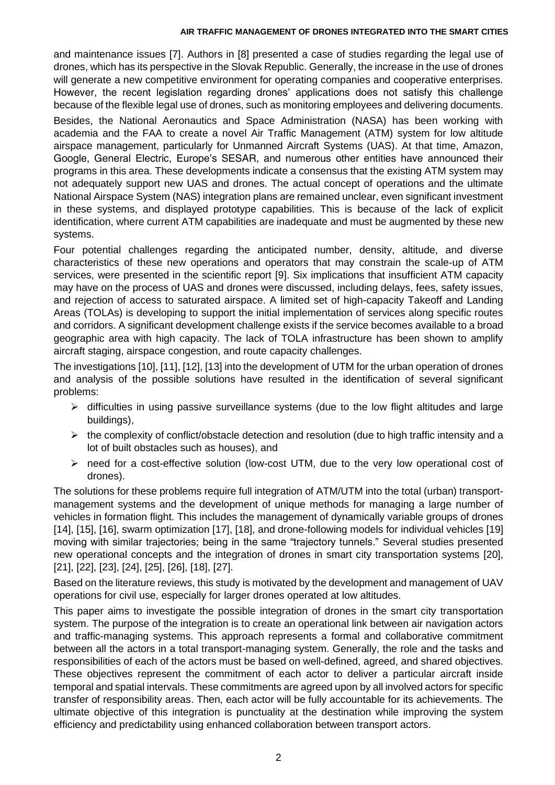and maintenance issues [7]. Authors in [8] presented a case of studies regarding the legal use of drones, which has its perspective in the Slovak Republic. Generally, the increase in the use of drones will generate a new competitive environment for operating companies and cooperative enterprises. However, the recent legislation regarding drones' applications does not satisfy this challenge because of the flexible legal use of drones, such as monitoring employees and delivering documents.

Besides, the National Aeronautics and Space Administration (NASA) has been working with academia and the FAA to create a novel Air Traffic Management (ATM) system for low altitude airspace management, particularly for Unmanned Aircraft Systems (UAS). At that time, Amazon, Google, General Electric, Europe's SESAR, and numerous other entities have announced their programs in this area. These developments indicate a consensus that the existing ATM system may not adequately support new UAS and drones. The actual concept of operations and the ultimate National Airspace System (NAS) integration plans are remained unclear, even significant investment in these systems, and displayed prototype capabilities. This is because of the lack of explicit identification, where current ATM capabilities are inadequate and must be augmented by these new systems.

Four potential challenges regarding the anticipated number, density, altitude, and diverse characteristics of these new operations and operators that may constrain the scale-up of ATM services, were presented in the scientific report [9]. Six implications that insufficient ATM capacity may have on the process of UAS and drones were discussed, including delays, fees, safety issues, and rejection of access to saturated airspace. A limited set of high-capacity Takeoff and Landing Areas (TOLAs) is developing to support the initial implementation of services along specific routes and corridors. A significant development challenge exists if the service becomes available to a broad geographic area with high capacity. The lack of TOLA infrastructure has been shown to amplify aircraft staging, airspace congestion, and route capacity challenges.

The investigations [10], [11], [12], [13] into the development of UTM for the urban operation of drones and analysis of the possible solutions have resulted in the identification of several significant problems:

- $\triangleright$  difficulties in using passive surveillance systems (due to the low flight altitudes and large buildings),
- $\triangleright$  the complexity of conflict/obstacle detection and resolution (due to high traffic intensity and a lot of built obstacles such as houses), and
- need for a cost-effective solution (low-cost UTM, due to the very low operational cost of drones).

The solutions for these problems require full integration of ATM/UTM into the total (urban) transportmanagement systems and the development of unique methods for managing a large number of vehicles in formation flight. This includes the management of dynamically variable groups of drones [14], [15], [16], swarm optimization [17], [18], and drone-following models for individual vehicles [19] moving with similar trajectories; being in the same "trajectory tunnels." Several studies presented new operational concepts and the integration of drones in smart city transportation systems [20], [21], [22], [23], [24], [25], [26], [18], [27].

Based on the literature reviews, this study is motivated by the development and management of UAV operations for civil use, especially for larger drones operated at low altitudes.

This paper aims to investigate the possible integration of drones in the smart city transportation system. The purpose of the integration is to create an operational link between air navigation actors and traffic-managing systems. This approach represents a formal and collaborative commitment between all the actors in a total transport-managing system. Generally, the role and the tasks and responsibilities of each of the actors must be based on well-defined, agreed, and shared objectives. These objectives represent the commitment of each actor to deliver a particular aircraft inside temporal and spatial intervals. These commitments are agreed upon by all involved actors for specific transfer of responsibility areas. Then, each actor will be fully accountable for its achievements. The ultimate objective of this integration is punctuality at the destination while improving the system efficiency and predictability using enhanced collaboration between transport actors.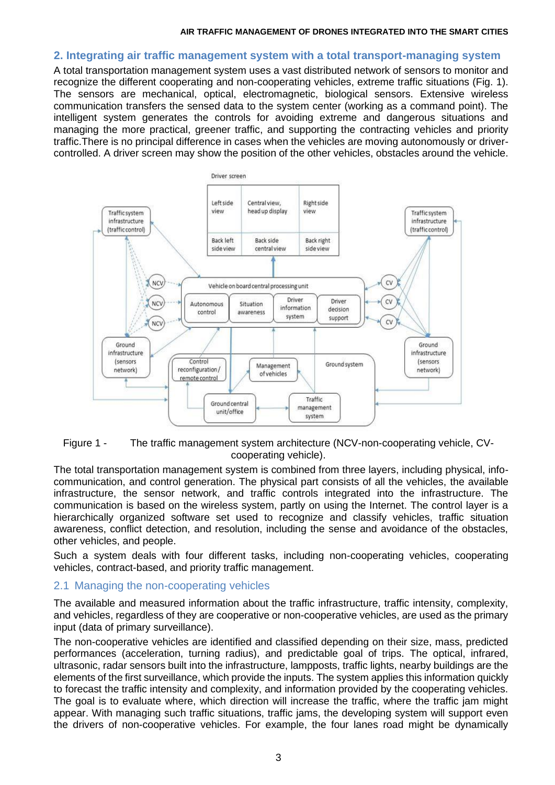## **2. Integrating air traffic management system with a total transport-managing system**

A total transportation management system uses a vast distributed network of sensors to monitor and recognize the different cooperating and non-cooperating vehicles, extreme traffic situations (Fig. 1). The sensors are mechanical, optical, electromagnetic, biological sensors. Extensive wireless communication transfers the sensed data to the system center (working as a command point). The intelligent system generates the controls for avoiding extreme and dangerous situations and managing the more practical, greener traffic, and supporting the contracting vehicles and priority traffic.There is no principal difference in cases when the vehicles are moving autonomously or drivercontrolled. A driver screen may show the position of the other vehicles, obstacles around the vehicle.



Figure 1 - The traffic management system architecture (NCV-non-cooperating vehicle, CVcooperating vehicle).

The total transportation management system is combined from three layers, including physical, infocommunication, and control generation. The physical part consists of all the vehicles, the available infrastructure, the sensor network, and traffic controls integrated into the infrastructure. The communication is based on the wireless system, partly on using the Internet. The control layer is a hierarchically organized software set used to recognize and classify vehicles, traffic situation awareness, conflict detection, and resolution, including the sense and avoidance of the obstacles, other vehicles, and people.

Such a system deals with four different tasks, including non-cooperating vehicles, cooperating vehicles, contract-based, and priority traffic management.

## 2.1 Managing the non-cooperating vehicles

The available and measured information about the traffic infrastructure, traffic intensity, complexity, and vehicles, regardless of they are cooperative or non-cooperative vehicles, are used as the primary input (data of primary surveillance).

The non-cooperative vehicles are identified and classified depending on their size, mass, predicted performances (acceleration, turning radius), and predictable goal of trips. The optical, infrared, ultrasonic, radar sensors built into the infrastructure, lampposts, traffic lights, nearby buildings are the elements of the first surveillance, which provide the inputs. The system applies this information quickly to forecast the traffic intensity and complexity, and information provided by the cooperating vehicles. The goal is to evaluate where, which direction will increase the traffic, where the traffic jam might appear. With managing such traffic situations, traffic jams, the developing system will support even the drivers of non-cooperative vehicles. For example, the four lanes road might be dynamically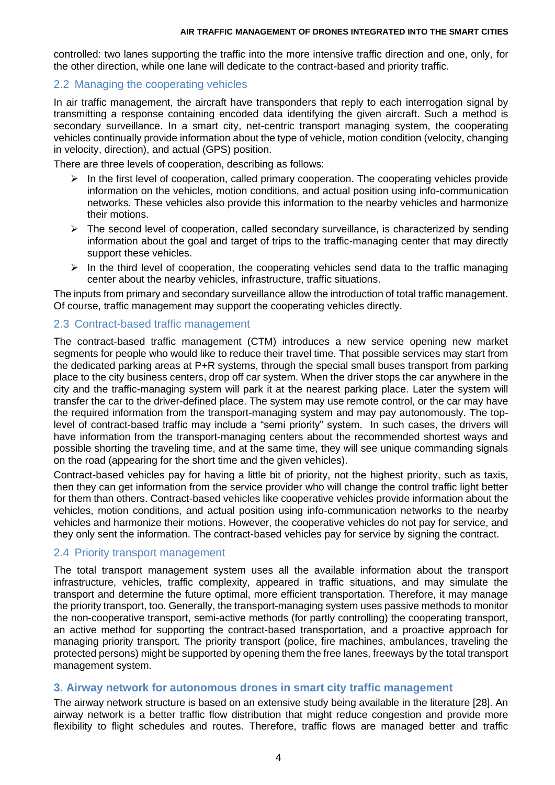controlled: two lanes supporting the traffic into the more intensive traffic direction and one, only, for the other direction, while one lane will dedicate to the contract-based and priority traffic.

## 2.2 Managing the cooperating vehicles

In air traffic management, the aircraft have transponders that reply to each interrogation signal by transmitting a response containing encoded data identifying the given aircraft. Such a method is secondary surveillance. In a smart city, net-centric transport managing system, the cooperating vehicles continually provide information about the type of vehicle, motion condition (velocity, changing in velocity, direction), and actual (GPS) position.

There are three levels of cooperation, describing as follows:

- $\triangleright$  In the first level of cooperation, called primary cooperation. The cooperating vehicles provide information on the vehicles, motion conditions, and actual position using info-communication networks. These vehicles also provide this information to the nearby vehicles and harmonize their motions.
- $\triangleright$  The second level of cooperation, called secondary surveillance, is characterized by sending information about the goal and target of trips to the traffic-managing center that may directly support these vehicles.
- $\triangleright$  In the third level of cooperation, the cooperating vehicles send data to the traffic managing center about the nearby vehicles, infrastructure, traffic situations.

The inputs from primary and secondary surveillance allow the introduction of total traffic management. Of course, traffic management may support the cooperating vehicles directly.

## 2.3 Contract-based traffic management

The contract-based traffic management (CTM) introduces a new service opening new market segments for people who would like to reduce their travel time. That possible services may start from the dedicated parking areas at P+R systems, through the special small buses transport from parking place to the city business centers, drop off car system. When the driver stops the car anywhere in the city and the traffic-managing system will park it at the nearest parking place. Later the system will transfer the car to the driver-defined place. The system may use remote control, or the car may have the required information from the transport-managing system and may pay autonomously. The toplevel of contract-based traffic may include a "semi priority" system. In such cases, the drivers will have information from the transport-managing centers about the recommended shortest ways and possible shorting the traveling time, and at the same time, they will see unique commanding signals on the road (appearing for the short time and the given vehicles).

Contract-based vehicles pay for having a little bit of priority, not the highest priority, such as taxis, then they can get information from the service provider who will change the control traffic light better for them than others. Contract-based vehicles like cooperative vehicles provide information about the vehicles, motion conditions, and actual position using info-communication networks to the nearby vehicles and harmonize their motions. However, the cooperative vehicles do not pay for service, and they only sent the information. The contract-based vehicles pay for service by signing the contract.

## 2.4 Priority transport management

The total transport management system uses all the available information about the transport infrastructure, vehicles, traffic complexity, appeared in traffic situations, and may simulate the transport and determine the future optimal, more efficient transportation. Therefore, it may manage the priority transport, too. Generally, the transport-managing system uses passive methods to monitor the non-cooperative transport, semi-active methods (for partly controlling) the cooperating transport, an active method for supporting the contract-based transportation, and a proactive approach for managing priority transport. The priority transport (police, fire machines, ambulances, traveling the protected persons) might be supported by opening them the free lanes, freeways by the total transport management system.

# **3. Airway network for autonomous drones in smart city traffic management**

The airway network structure is based on an extensive study being available in the literature [28]. An airway network is a better traffic flow distribution that might reduce congestion and provide more flexibility to flight schedules and routes. Therefore, traffic flows are managed better and traffic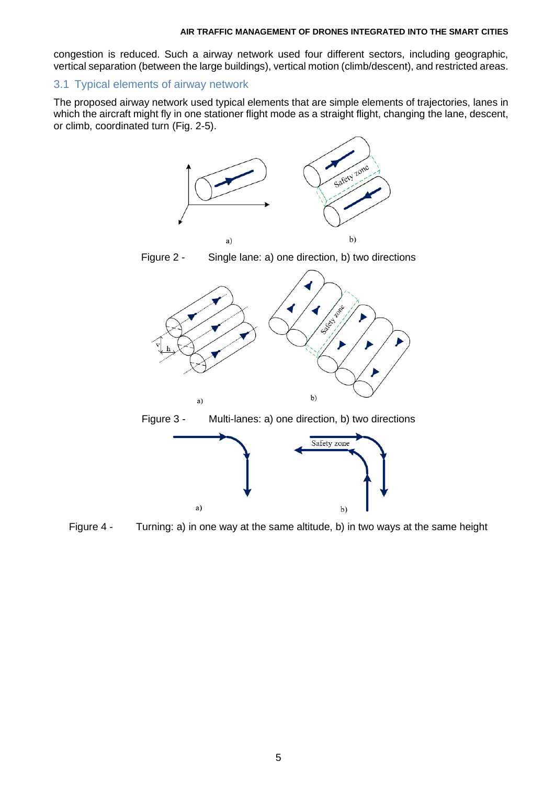congestion is reduced. Such a airway network used four different sectors, including geographic, vertical separation (between the large buildings), vertical motion (climb/descent), and restricted areas.

## 3.1 Typical elements of airway network

The proposed airway network used typical elements that are simple elements of trajectories, lanes in which the aircraft might fly in one stationer flight mode as a straight flight, changing the lane, descent, or climb, coordinated turn (Fig. 2-5).



Figure 4 - Turning: a) in one way at the same altitude, b) in two ways at the same height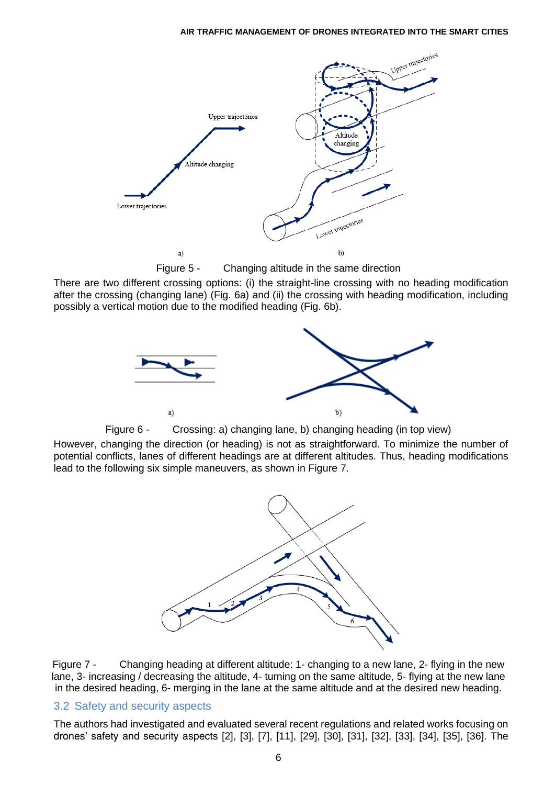

Figure 5 - Changing altitude in the same direction

There are two different crossing options: (i) the straight-line crossing with no heading modification after the crossing (changing lane) (Fig. 6a) and (ii) the crossing with heading modification, including possibly a vertical motion due to the modified heading (Fig. 6b).





However, changing the direction (or heading) is not as straightforward. To minimize the number of potential conflicts, lanes of different headings are at different altitudes. Thus, heading modifications lead to the following six simple maneuvers, as shown in Figure 7.



Figure 7 - Changing heading at different altitude: 1- changing to a new lane, 2- flying in the new lane, 3- increasing / decreasing the altitude, 4- turning on the same altitude, 5- flying at the new lane in the desired heading, 6- merging in the lane at the same altitude and at the desired new heading.

# 3.2 Safety and security aspects

The authors had investigated and evaluated several recent regulations and related works focusing on drones' safety and security aspects [2], [3], [7], [11], [29], [30], [31], [32], [33], [34], [35], [36]. The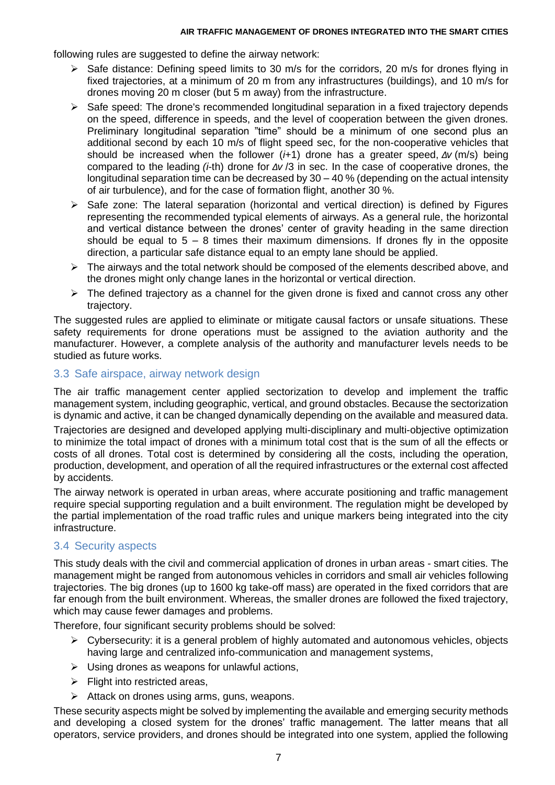following rules are suggested to define the airway network:

- $\triangleright$  Safe distance: Defining speed limits to 30 m/s for the corridors, 20 m/s for drones flying in fixed trajectories, at a minimum of 20 m from any infrastructures (buildings), and 10 m/s for drones moving 20 m closer (but 5 m away) from the infrastructure.
- $\triangleright$  Safe speed: The drone's recommended longitudinal separation in a fixed trajectory depends on the speed, difference in speeds, and the level of cooperation between the given drones. Preliminary longitudinal separation "time" should be a minimum of one second plus an additional second by each 10 m/s of flight speed sec, for the non-cooperative vehicles that should be increased when the follower (*i*+1) drone has a greater speed, *Δv* (m/s) being compared to the leading *(i*-th) drone for *Δv* /3 in sec. In the case of cooperative drones, the longitudinal separation time can be decreased by 30 – 40 % (depending on the actual intensity of air turbulence), and for the case of formation flight, another 30 %.
- $\triangleright$  Safe zone: The lateral separation (horizontal and vertical direction) is defined by Figures representing the recommended typical elements of airways. As a general rule, the horizontal and vertical distance between the drones' center of gravity heading in the same direction should be equal to  $5 - 8$  times their maximum dimensions. If drones fly in the opposite direction, a particular safe distance equal to an empty lane should be applied.
- $\triangleright$  The airways and the total network should be composed of the elements described above, and the drones might only change lanes in the horizontal or vertical direction.
- $\triangleright$  The defined trajectory as a channel for the given drone is fixed and cannot cross any other trajectory.

The suggested rules are applied to eliminate or mitigate causal factors or unsafe situations. These safety requirements for drone operations must be assigned to the aviation authority and the manufacturer. However, a complete analysis of the authority and manufacturer levels needs to be studied as future works.

## 3.3 Safe airspace, airway network design

The air traffic management center applied sectorization to develop and implement the traffic management system, including geographic, vertical, and ground obstacles. Because the sectorization is dynamic and active, it can be changed dynamically depending on the available and measured data.

Trajectories are designed and developed applying multi-disciplinary and multi-objective optimization to minimize the total impact of drones with a minimum total cost that is the sum of all the effects or costs of all drones. Total cost is determined by considering all the costs, including the operation, production, development, and operation of all the required infrastructures or the external cost affected by accidents.

The airway network is operated in urban areas, where accurate positioning and traffic management require special supporting regulation and a built environment. The regulation might be developed by the partial implementation of the road traffic rules and unique markers being integrated into the city infrastructure.

# 3.4 Security aspects

This study deals with the civil and commercial application of drones in urban areas - smart cities. The management might be ranged from autonomous vehicles in corridors and small air vehicles following trajectories. The big drones (up to 1600 kg take-off mass) are operated in the fixed corridors that are far enough from the built environment. Whereas, the smaller drones are followed the fixed trajectory, which may cause fewer damages and problems.

Therefore, four significant security problems should be solved:

- $\triangleright$  Cybersecurity: it is a general problem of highly automated and autonomous vehicles, objects having large and centralized info-communication and management systems,
- $\triangleright$  Using drones as weapons for unlawful actions,
- $\triangleright$  Flight into restricted areas,
- $\triangleright$  Attack on drones using arms, guns, weapons.

These security aspects might be solved by implementing the available and emerging security methods and developing a closed system for the drones' traffic management. The latter means that all operators, service providers, and drones should be integrated into one system, applied the following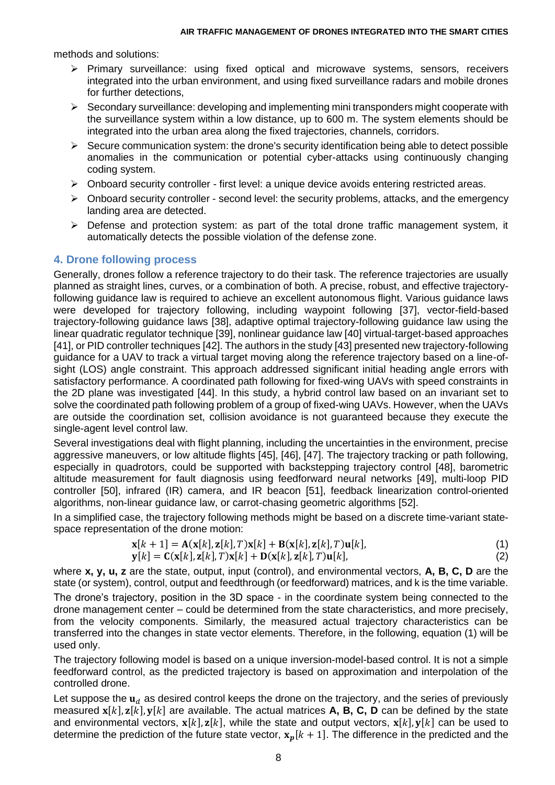methods and solutions:

- $\triangleright$  Primary surveillance: using fixed optical and microwave systems, sensors, receivers integrated into the urban environment, and using fixed surveillance radars and mobile drones for further detections,
- $\triangleright$  Secondary surveillance: developing and implementing mini transponders might cooperate with the surveillance system within a low distance, up to 600 m. The system elements should be integrated into the urban area along the fixed trajectories, channels, corridors.
- $\triangleright$  Secure communication system: the drone's security identification being able to detect possible anomalies in the communication or potential cyber-attacks using continuously changing coding system.
- $\triangleright$  Onboard security controller first level: a unique device avoids entering restricted areas.
- $\triangleright$  Onboard security controller second level: the security problems, attacks, and the emergency landing area are detected.
- $\triangleright$  Defense and protection system: as part of the total drone traffic management system, it automatically detects the possible violation of the defense zone.

# **4. Drone following process**

Generally, drones follow a reference trajectory to do their task. The reference trajectories are usually planned as straight lines, curves, or a combination of both. A precise, robust, and effective trajectoryfollowing guidance law is required to achieve an excellent autonomous flight. Various guidance laws were developed for trajectory following, including waypoint following [37], vector-field-based trajectory-following guidance laws [38], adaptive optimal trajectory-following guidance law using the linear quadratic regulator technique [39], nonlinear guidance law [40] virtual-target-based approaches [41], or PID controller techniques [42]. The authors in the study [43] presented new trajectory-following guidance for a UAV to track a virtual target moving along the reference trajectory based on a line-ofsight (LOS) angle constraint. This approach addressed significant initial heading angle errors with satisfactory performance. A coordinated path following for fixed-wing UAVs with speed constraints in the 2D plane was investigated [44]. In this study, a hybrid control law based on an invariant set to solve the coordinated path following problem of a group of fixed-wing UAVs. However, when the UAVs are outside the coordination set, collision avoidance is not guaranteed because they execute the single-agent level control law.

Several investigations deal with flight planning, including the uncertainties in the environment, precise aggressive maneuvers, or low altitude flights [45], [46], [47]. The trajectory tracking or path following, especially in quadrotors, could be supported with backstepping trajectory control [48], barometric altitude measurement for fault diagnosis using feedforward neural networks [49], multi-loop PID controller [50], infrared (IR) camera, and IR beacon [51], feedback linearization control-oriented algorithms, non-linear guidance law, or carrot-chasing geometric algorithms [52].

In a simplified case, the trajectory following methods might be based on a discrete time-variant statespace representation of the drone motion:

$$
\mathbf{x}[k+1] = \mathbf{A}(\mathbf{x}[k], \mathbf{z}[k], T)\mathbf{x}[k] + \mathbf{B}(\mathbf{x}[k], \mathbf{z}[k], T)\mathbf{u}[k],
$$
\n(1)

$$
\mathbf{y}[k] = \mathbf{C}(\mathbf{x}[k], \mathbf{z}[k], T)\mathbf{x}[k] + \mathbf{D}(\mathbf{x}[k], \mathbf{z}[k], T)\mathbf{u}[k],
$$
\n(2)

where **x, y, u, z** are the state, output, input (control), and environmental vectors, **A, B, C, D** are the state (or system), control, output and feedthrough (or feedforward) matrices, and k is the time variable.

The drone's trajectory, position in the 3D space - in the coordinate system being connected to the drone management center – could be determined from the state characteristics, and more precisely, from the velocity components. Similarly, the measured actual trajectory characteristics can be transferred into the changes in state vector elements. Therefore, in the following, equation (1) will be used only.

The trajectory following model is based on a unique inversion-model-based control. It is not a simple feedforward control, as the predicted trajectory is based on approximation and interpolation of the controlled drone.

Let suppose the  $\mathbf{u}_d$  as desired control keeps the drone on the trajectory, and the series of previously measured  $x[k], z[k], y[k]$  are available. The actual matrices **A, B, C, D** can be defined by the state and environmental vectors,  $\mathbf{x}[k]$ ,  $\mathbf{z}[k]$ , while the state and output vectors,  $\mathbf{x}[k]$ ,  $\mathbf{y}[k]$  can be used to determine the prediction of the future state vector,  $x_p[k + 1]$ . The difference in the predicted and the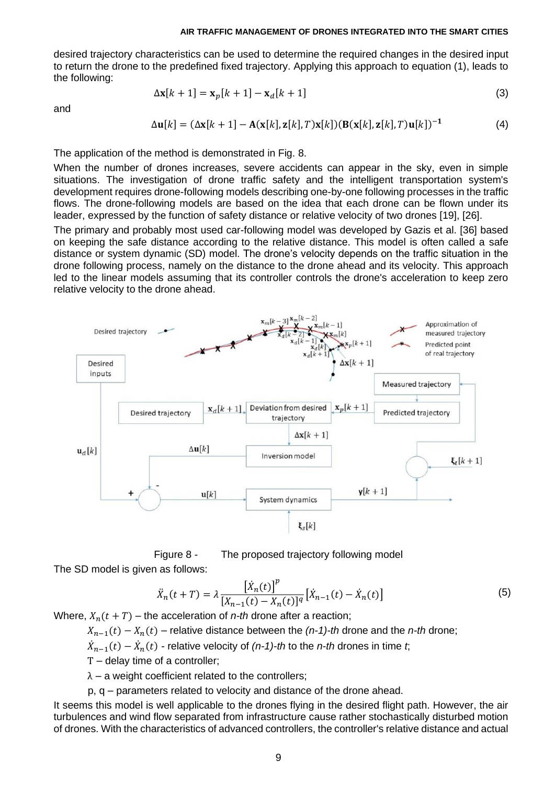desired trajectory characteristics can be used to determine the required changes in the desired input to return the drone to the predefined fixed trajectory. Applying this approach to equation (1), leads to the following:

and

$$
\Delta \mathbf{x}[k+1] = \mathbf{x}_p[k+1] - \mathbf{x}_d[k+1] \tag{3}
$$

$$
\Delta \mathbf{u}[k] = (\Delta \mathbf{x}[k+1] - \mathbf{A}(\mathbf{x}[k], \mathbf{z}[k], T)\mathbf{x}[k])(\mathbf{B}(\mathbf{x}[k], \mathbf{z}[k], T)\mathbf{u}[k])^{-1}
$$
(4)

The application of the method is demonstrated in Fig. 8.

When the number of drones increases, severe accidents can appear in the sky, even in simple situations. The investigation of drone traffic safety and the intelligent transportation system's development requires drone-following models describing one-by-one following processes in the traffic flows. The drone-following models are based on the idea that each drone can be flown under its leader, expressed by the function of safety distance or relative velocity of two drones [19], [26].

The primary and probably most used car-following model was developed by Gazis et al. [36] based on keeping the safe distance according to the relative distance. This model is often called a safe distance or system dynamic (SD) model. The drone's velocity depends on the traffic situation in the drone following process, namely on the distance to the drone ahead and its velocity. This approach led to the linear models assuming that its controller controls the drone's acceleration to keep zero relative velocity to the drone ahead.



Figure 8 - The proposed trajectory following model The SD model is given as follows:

$$
\ddot{X}_n(t+T) = \lambda \frac{\left[\dot{X}_n(t)\right]^p}{\left[X_{n-1}(t) - X_n(t)\right]^q} \left[\dot{X}_{n-1}(t) - \dot{X}_n(t)\right] \tag{5}
$$

Where,  $X_n(t + T)$  – the acceleration of *n-th* drone after a reaction;

 $X_{n-1}(t) - X_n(t)$  – relative distance between the  $(n-1)$ -th drone and the *n*-th drone;

 $\ddot{X}_{n-1}(t) - \ddot{X}_n(t)$  - relative velocity of (*n-1*)-*th* to the *n-th* drones in time *t*;

T – delay time of a controller;

 $\lambda$  – a weight coefficient related to the controllers;

p, q – parameters related to velocity and distance of the drone ahead.

It seems this model is well applicable to the drones flying in the desired flight path. However, the air turbulences and wind flow separated from infrastructure cause rather stochastically disturbed motion of drones. With the characteristics of advanced controllers, the controller's relative distance and actual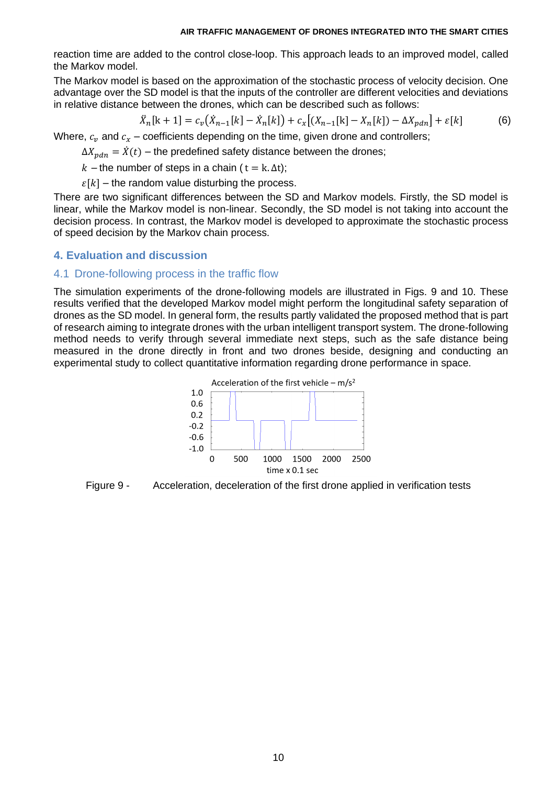reaction time are added to the control close-loop. This approach leads to an improved model, called the Markov model.

The Markov model is based on the approximation of the stochastic process of velocity decision. One advantage over the SD model is that the inputs of the controller are different velocities and deviations in relative distance between the drones, which can be described such as follows:

$$
\ddot{X}_n[k+1] = c_v(\dot{X}_{n-1}[k] - \dot{X}_n[k]) + c_x[(X_{n-1}[k] - X_n[k]) - \Delta X_{pdn}] + \varepsilon[k] \tag{6}
$$

Where,  $c_v$  and  $c_x$  – coefficients depending on the time, given drone and controllers;

 $\Delta X_{ndn} = \dot{X}(t)$  – the predefined safety distance between the drones;

 $k$  – the number of steps in a chain ( $t = k \Delta t$ );

 $\varepsilon[k]$  – the random value disturbing the process.

There are two significant differences between the SD and Markov models. Firstly, the SD model is linear, while the Markov model is non-linear. Secondly, the SD model is not taking into account the decision process. In contrast, the Markov model is developed to approximate the stochastic process of speed decision by the Markov chain process.

## **4. Evaluation and discussion**

## 4.1 Drone-following process in the traffic flow

The simulation experiments of the drone-following models are illustrated in Figs. 9 and 10. These results verified that the developed Markov model might perform the longitudinal safety separation of drones as the SD model. In general form, the results partly validated the proposed method that is part of research aiming to integrate drones with the urban intelligent transport system. The drone-following method needs to verify through several immediate next steps, such as the safe distance being measured in the drone directly in front and two drones beside, designing and conducting an experimental study to collect quantitative information regarding drone performance in space.



Figure 9 - Acceleration, deceleration of the first drone applied in verification tests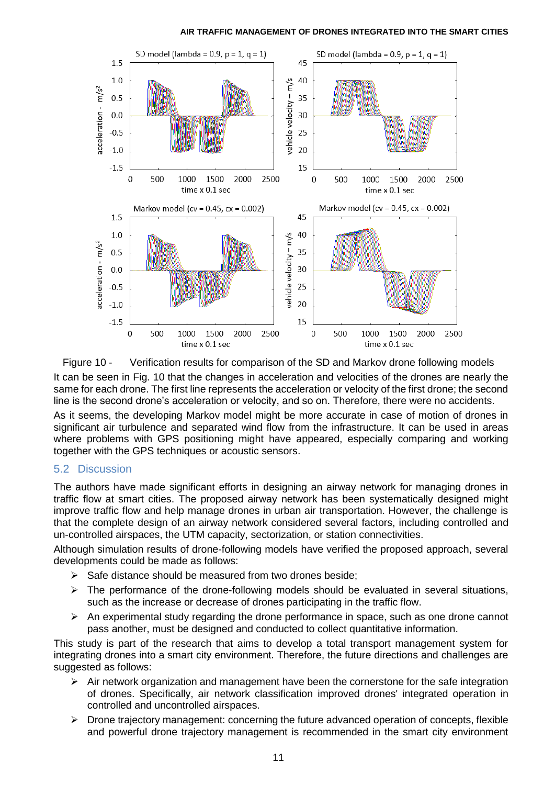

Figure 10 - Verification results for comparison of the SD and Markov drone following models It can be seen in Fig. 10 that the changes in acceleration and velocities of the drones are nearly the same for each drone. The first line represents the acceleration or velocity of the first drone; the second line is the second drone's acceleration or velocity, and so on. Therefore, there were no accidents.

As it seems, the developing Markov model might be more accurate in case of motion of drones in significant air turbulence and separated wind flow from the infrastructure. It can be used in areas where problems with GPS positioning might have appeared, especially comparing and working together with the GPS techniques or acoustic sensors.

## 5.2 Discussion

The authors have made significant efforts in designing an airway network for managing drones in traffic flow at smart cities. The proposed airway network has been systematically designed might improve traffic flow and help manage drones in urban air transportation. However, the challenge is that the complete design of an airway network considered several factors, including controlled and un-controlled airspaces, the UTM capacity, sectorization, or station connectivities.

Although simulation results of drone-following models have verified the proposed approach, several developments could be made as follows:

- Safe distance should be measured from two drones beside;
- $\triangleright$  The performance of the drone-following models should be evaluated in several situations, such as the increase or decrease of drones participating in the traffic flow.
- $\triangleright$  An experimental study regarding the drone performance in space, such as one drone cannot pass another, must be designed and conducted to collect quantitative information.

This study is part of the research that aims to develop a total transport management system for integrating drones into a smart city environment. Therefore, the future directions and challenges are suggested as follows:

- Air network organization and management have been the cornerstone for the safe integration of drones. Specifically, air network classification improved drones' integrated operation in controlled and uncontrolled airspaces.
- $\triangleright$  Drone trajectory management: concerning the future advanced operation of concepts, flexible and powerful drone trajectory management is recommended in the smart city environment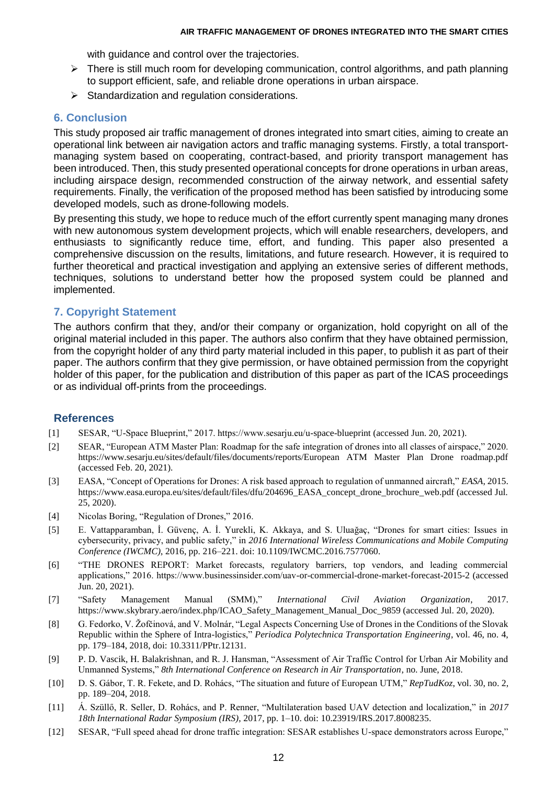with guidance and control over the trajectories.

- $\triangleright$  There is still much room for developing communication, control algorithms, and path planning to support efficient, safe, and reliable drone operations in urban airspace.
- $\triangleright$  Standardization and regulation considerations.

## **6. Conclusion**

This study proposed air traffic management of drones integrated into smart cities, aiming to create an operational link between air navigation actors and traffic managing systems. Firstly, a total transportmanaging system based on cooperating, contract-based, and priority transport management has been introduced. Then, this study presented operational concepts for drone operations in urban areas, including airspace design, recommended construction of the airway network, and essential safety requirements. Finally, the verification of the proposed method has been satisfied by introducing some developed models, such as drone-following models.

By presenting this study, we hope to reduce much of the effort currently spent managing many drones with new autonomous system development projects, which will enable researchers, developers, and enthusiasts to significantly reduce time, effort, and funding. This paper also presented a comprehensive discussion on the results, limitations, and future research. However, it is required to further theoretical and practical investigation and applying an extensive series of different methods, techniques, solutions to understand better how the proposed system could be planned and implemented.

## **7. Copyright Statement**

The authors confirm that they, and/or their company or organization, hold copyright on all of the original material included in this paper. The authors also confirm that they have obtained permission, from the copyright holder of any third party material included in this paper, to publish it as part of their paper. The authors confirm that they give permission, or have obtained permission from the copyright holder of this paper, for the publication and distribution of this paper as part of the ICAS proceedings or as individual off-prints from the proceedings.

## **References**

- [1] SESAR, "U-Space Blueprint," 2017. https://www.sesarju.eu/u-space-blueprint (accessed Jun. 20, 2021).
- [2] SEAR, "European ATM Master Plan: Roadmap for the safe integration of drones into all classes of airspace," 2020. https://www.sesarju.eu/sites/default/files/documents/reports/European ATM Master Plan Drone roadmap.pdf (accessed Feb. 20, 2021).
- [3] EASA, "Concept of Operations for Drones: A risk based approach to regulation of unmanned aircraft," *EASA*, 2015. https://www.easa.europa.eu/sites/default/files/dfu/204696\_EASA\_concept\_drone\_brochure\_web.pdf (accessed Jul. 25, 2020).
- [4] Nicolas Boring, "Regulation of Drones," 2016.
- [5] E. Vattapparamban, İ. Güvenç, A. İ. Yurekli, K. Akkaya, and S. Uluağaç, "Drones for smart cities: Issues in cybersecurity, privacy, and public safety," in *2016 International Wireless Communications and Mobile Computing Conference (IWCMC)*, 2016, pp. 216–221. doi: 10.1109/IWCMC.2016.7577060.
- [6] "THE DRONES REPORT: Market forecasts, regulatory barriers, top vendors, and leading commercial applications," 2016. https://www.businessinsider.com/uav-or-commercial-drone-market-forecast-2015-2 (accessed Jun. 20, 2021).
- [7] "Safety Management Manual (SMM)," *International Civil Aviation Organization*, 2017. https://www.skybrary.aero/index.php/ICAO\_Safety\_Management\_Manual\_Doc\_9859 (accessed Jul. 20, 2020).
- [8] G. Fedorko, V. Žofčinová, and V. Molnár, "Legal Aspects Concerning Use of Drones in the Conditions of the Slovak Republic within the Sphere of Intra-logistics," *Periodica Polytechnica Transportation Engineering*, vol. 46, no. 4, pp. 179–184, 2018, doi: 10.3311/PPtr.12131.
- [9] P. D. Vascik, H. Balakrishnan, and R. J. Hansman, "Assessment of Air Traffic Control for Urban Air Mobility and Unmanned Systems," *8th International Conference on Research in Air Transportation*, no. June, 2018.
- [10] D. S. Gábor, T. R. Fekete, and D. Rohács, "The situation and future of European UTM," *RepTudKoz*, vol. 30, no. 2, pp. 189–204, 2018.
- [11] Á. Szüllő, R. Seller, D. Rohács, and P. Renner, "Multilateration based UAV detection and localization," in *2017 18th International Radar Symposium (IRS)*, 2017, pp. 1–10. doi: 10.23919/IRS.2017.8008235.
- [12] SESAR, "Full speed ahead for drone traffic integration: SESAR establishes U-space demonstrators across Europe,"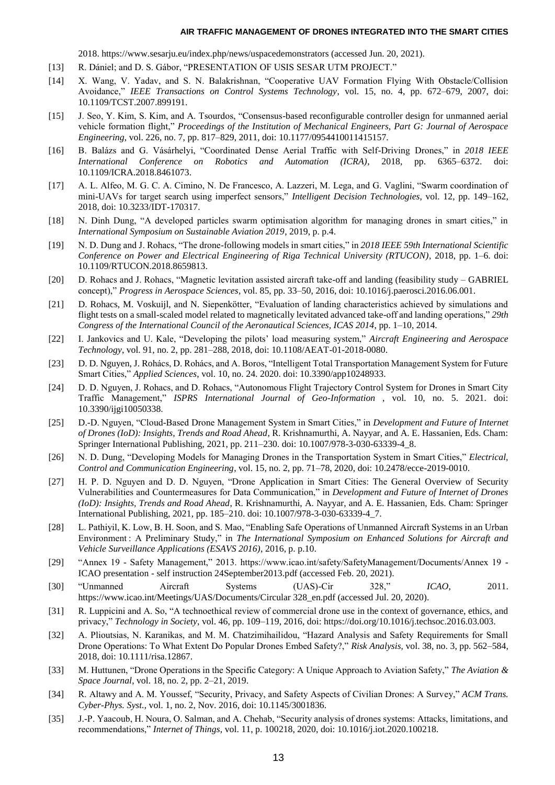2018. https://www.sesarju.eu/index.php/news/uspacedemonstrators (accessed Jun. 20, 2021).

- [13] R. Dániel; and D. S. Gábor, "PRESENTATION OF USIS SESAR UTM PROJECT."
- [14] X. Wang, V. Yadav, and S. N. Balakrishnan, "Cooperative UAV Formation Flying With Obstacle/Collision Avoidance," *IEEE Transactions on Control Systems Technology*, vol. 15, no. 4, pp. 672–679, 2007, doi: 10.1109/TCST.2007.899191.
- [15] J. Seo, Y. Kim, S. Kim, and A. Tsourdos, "Consensus-based reconfigurable controller design for unmanned aerial vehicle formation flight," *Proceedings of the Institution of Mechanical Engineers, Part G: Journal of Aerospace Engineering*, vol. 226, no. 7, pp. 817–829, 2011, doi: 10.1177/0954410011415157.
- [16] B. Balázs and G. Vásárhelyi, "Coordinated Dense Aerial Traffic with Self-Driving Drones," in *2018 IEEE International Conference on Robotics and Automation (ICRA)*, 2018, pp. 6365–6372. doi: 10.1109/ICRA.2018.8461073.
- [17] A. L. Alfeo, M. G. C. A. Cimino, N. De Francesco, A. Lazzeri, M. Lega, and G. Vaglini, "Swarm coordination of mini-UAVs for target search using imperfect sensors," *Intelligent Decision Technologies*, vol. 12, pp. 149–162, 2018, doi: 10.3233/IDT-170317.
- [18] N. Dinh Dung, "A developed particles swarm optimisation algorithm for managing drones in smart cities," in *International Symposium on Sustainable Aviation 2019*, 2019, p. p.4.
- [19] N. D. Dung and J. Rohacs, "The drone-following models in smart cities," in *2018 IEEE 59th International Scientific Conference on Power and Electrical Engineering of Riga Technical University (RTUCON)*, 2018, pp. 1–6. doi: 10.1109/RTUCON.2018.8659813.
- [20] D. Rohacs and J. Rohacs, "Magnetic levitation assisted aircraft take-off and landing (feasibility study GABRIEL concept)," *Progress in Aerospace Sciences*, vol. 85, pp. 33–50, 2016, doi: 10.1016/j.paerosci.2016.06.001.
- [21] D. Rohacs, M. Voskuijl, and N. Siepenkötter, "Evaluation of landing characteristics achieved by simulations and flight tests on a small-scaled model related to magnetically levitated advanced take-off and landing operations," *29th Congress of the International Council of the Aeronautical Sciences, ICAS 2014*, pp. 1–10, 2014.
- [22] I. Jankovics and U. Kale, "Developing the pilots' load measuring system," *Aircraft Engineering and Aerospace Technology*, vol. 91, no. 2, pp. 281–288, 2018, doi: 10.1108/AEAT-01-2018-0080.
- [23] D. D. Nguyen, J. Rohács, D. Rohács, and A. Boros, "Intelligent Total Transportation Management System for Future Smart Cities," *Applied Sciences*, vol. 10, no. 24. 2020. doi: 10.3390/app10248933.
- [24] D. D. Nguyen, J. Rohacs, and D. Rohacs, "Autonomous Flight Trajectory Control System for Drones in Smart City Traffic Management," *ISPRS International Journal of Geo-Information* , vol. 10, no. 5. 2021. doi: 10.3390/ijgi10050338.
- [25] D.-D. Nguyen, "Cloud-Based Drone Management System in Smart Cities," in *Development and Future of Internet of Drones (IoD): Insights, Trends and Road Ahead*, R. Krishnamurthi, A. Nayyar, and A. E. Hassanien, Eds. Cham: Springer International Publishing, 2021, pp. 211–230. doi: 10.1007/978-3-030-63339-4\_8.
- [26] N. D. Dung, "Developing Models for Managing Drones in the Transportation System in Smart Cities," *Electrical, Control and Communication Engineering*, vol. 15, no. 2, pp. 71–78, 2020, doi: 10.2478/ecce-2019-0010.
- [27] H. P. D. Nguyen and D. D. Nguyen, "Drone Application in Smart Cities: The General Overview of Security Vulnerabilities and Countermeasures for Data Communication," in *Development and Future of Internet of Drones (IoD): Insights, Trends and Road Ahead*, R. Krishnamurthi, A. Nayyar, and A. E. Hassanien, Eds. Cham: Springer International Publishing, 2021, pp. 185–210. doi: 10.1007/978-3-030-63339-4\_7.
- [28] L. Pathiyil, K. Low, B. H. Soon, and S. Mao, "Enabling Safe Operations of Unmanned Aircraft Systems in an Urban Environment : A Preliminary Study," in *The International Symposium on Enhanced Solutions for Aircraft and Vehicle Surveillance Applications (ESAVS 2016)*, 2016, p. p.10.
- [29] "Annex 19 Safety Management," 2013. https://www.icao.int/safety/SafetyManagement/Documents/Annex 19 ICAO presentation - self instruction 24September2013.pdf (accessed Feb. 20, 2021).
- [30] "Unmanned Aircraft Systems (UAS)-Cir 328," *ICAO*, 2011. https://www.icao.int/Meetings/UAS/Documents/Circular 328\_en.pdf (accessed Jul. 20, 2020).
- [31] R. Luppicini and A. So, "A technoethical review of commercial drone use in the context of governance, ethics, and privacy," *Technology in Society*, vol. 46, pp. 109–119, 2016, doi: https://doi.org/10.1016/j.techsoc.2016.03.003.
- [32] A. Plioutsias, N. Karanikas, and M. M. Chatzimihailidou, "Hazard Analysis and Safety Requirements for Small Drone Operations: To What Extent Do Popular Drones Embed Safety?," *Risk Analysis*, vol. 38, no. 3, pp. 562–584, 2018, doi: 10.1111/risa.12867.
- [33] M. Huttunen, "Drone Operations in the Specific Category: A Unique Approach to Aviation Safety," *The Aviation & Space Journal*, vol. 18, no. 2, pp. 2–21, 2019.
- [34] R. Altawy and A. M. Youssef, "Security, Privacy, and Safety Aspects of Civilian Drones: A Survey," *ACM Trans. Cyber-Phys. Syst.*, vol. 1, no. 2, Nov. 2016, doi: 10.1145/3001836.
- [35] J.-P. Yaacoub, H. Noura, O. Salman, and A. Chehab, "Security analysis of drones systems: Attacks, limitations, and recommendations," *Internet of Things*, vol. 11, p. 100218, 2020, doi: 10.1016/j.iot.2020.100218.